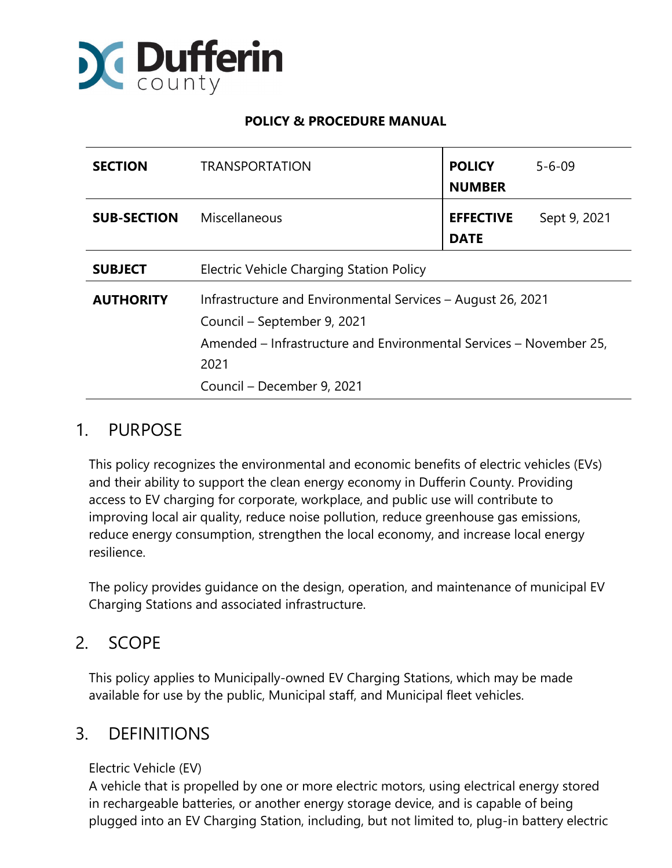

### **POLICY & PROCEDURE MANUAL**

| <b>SECTION</b>     | <b>TRANSPORTATION</b>                                                                                                                                                                                  | <b>POLICY</b><br><b>NUMBER</b>  | $5 - 6 - 09$ |
|--------------------|--------------------------------------------------------------------------------------------------------------------------------------------------------------------------------------------------------|---------------------------------|--------------|
| <b>SUB-SECTION</b> | Miscellaneous                                                                                                                                                                                          | <b>EFFECTIVE</b><br><b>DATE</b> | Sept 9, 2021 |
| <b>SUBJECT</b>     | Electric Vehicle Charging Station Policy                                                                                                                                                               |                                 |              |
| <b>AUTHORITY</b>   | Infrastructure and Environmental Services - August 26, 2021<br>Council – September 9, 2021<br>Amended – Infrastructure and Environmental Services – November 25,<br>2021<br>Council - December 9, 2021 |                                 |              |

# 1. PURPOSE

This policy recognizes the environmental and economic benefits of electric vehicles (EVs) and their ability to support the clean energy economy in Dufferin County. Providing access to EV charging for corporate, workplace, and public use will contribute to improving local air quality, reduce noise pollution, reduce greenhouse gas emissions, reduce energy consumption, strengthen the local economy, and increase local energy resilience.

The policy provides guidance on the design, operation, and maintenance of municipal EV Charging Stations and associated infrastructure.

# 2. SCOPE

This policy applies to Municipally-owned EV Charging Stations, which may be made available for use by the public, Municipal staff, and Municipal fleet vehicles.

## 3. DEFINITIONS

#### Electric Vehicle (EV)

A vehicle that is propelled by one or more electric motors, using electrical energy stored in rechargeable batteries, or another energy storage device, and is capable of being plugged into an EV Charging Station, including, but not limited to, plug-in battery electric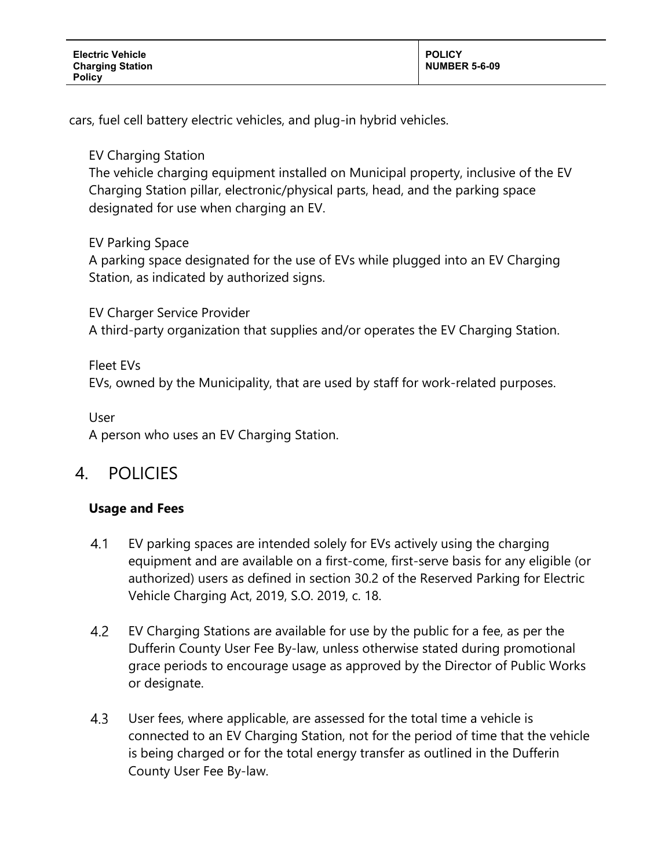cars, fuel cell battery electric vehicles, and plug-in hybrid vehicles.

EV Charging Station

The vehicle charging equipment installed on Municipal property, inclusive of the EV Charging Station pillar, electronic/physical parts, head, and the parking space designated for use when charging an EV.

EV Parking Space

A parking space designated for the use of EVs while plugged into an EV Charging Station, as indicated by authorized signs.

EV Charger Service Provider A third-party organization that supplies and/or operates the EV Charging Station.

Fleet EVs EVs, owned by the Municipality, that are used by staff for work-related purposes.

User

A person who uses an EV Charging Station.

# 4. POLICIES

## **Usage and Fees**

- $4.1$ EV parking spaces are intended solely for EVs actively using the charging equipment and are available on a first-come, first-serve basis for any eligible (or authorized) users as defined in section 30.2 of the Reserved Parking for Electric Vehicle Charging Act, 2019, S.O. 2019, c. 18.
- 4.2 EV Charging Stations are available for use by the public for a fee, as per the Dufferin County User Fee By-law, unless otherwise stated during promotional grace periods to encourage usage as approved by the Director of Public Works or designate.
- $4.3$ User fees, where applicable, are assessed for the total time a vehicle is connected to an EV Charging Station, not for the period of time that the vehicle is being charged or for the total energy transfer as outlined in the Dufferin County User Fee By-law.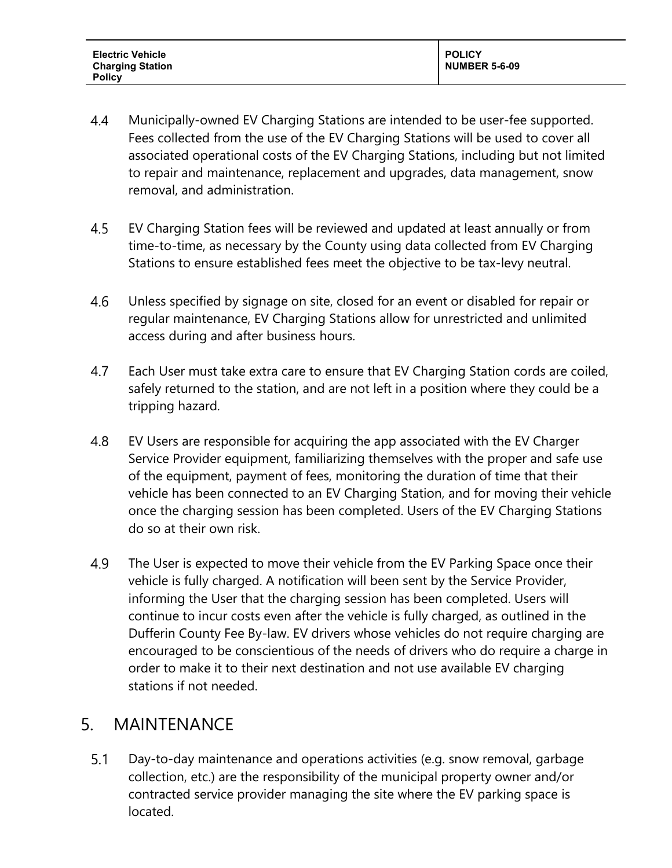**Electric Vehicle Charging Station Policy**

- $4.4$ Municipally-owned EV Charging Stations are intended to be user-fee supported. Fees collected from the use of the EV Charging Stations will be used to cover all associated operational costs of the EV Charging Stations, including but not limited to repair and maintenance, replacement and upgrades, data management, snow removal, and administration.
- $4.5$ EV Charging Station fees will be reviewed and updated at least annually or from time-to-time, as necessary by the County using data collected from EV Charging Stations to ensure established fees meet the objective to be tax-levy neutral.
- 4.6 Unless specified by signage on site, closed for an event or disabled for repair or regular maintenance, EV Charging Stations allow for unrestricted and unlimited access during and after business hours.
- 4.7 Each User must take extra care to ensure that EV Charging Station cords are coiled, safely returned to the station, and are not left in a position where they could be a tripping hazard.
- 4.8 EV Users are responsible for acquiring the app associated with the EV Charger Service Provider equipment, familiarizing themselves with the proper and safe use of the equipment, payment of fees, monitoring the duration of time that their vehicle has been connected to an EV Charging Station, and for moving their vehicle once the charging session has been completed. Users of the EV Charging Stations do so at their own risk.
- 4.9 The User is expected to move their vehicle from the EV Parking Space once their vehicle is fully charged. A notification will been sent by the Service Provider, informing the User that the charging session has been completed. Users will continue to incur costs even after the vehicle is fully charged, as outlined in the Dufferin County Fee By-law. EV drivers whose vehicles do not require charging are encouraged to be conscientious of the needs of drivers who do require a charge in order to make it to their next destination and not use available EV charging stations if not needed.

## 5. MAINTENANCE

Day-to-day maintenance and operations activities (e.g. snow removal, garbage  $5.1$ collection, etc.) are the responsibility of the municipal property owner and/or contracted service provider managing the site where the EV parking space is located.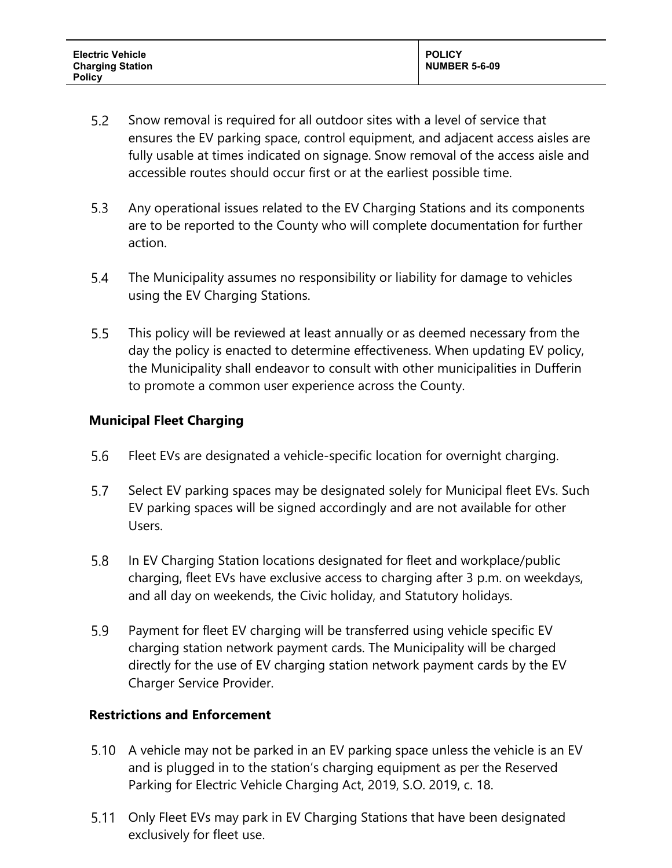- $5.2$ Snow removal is required for all outdoor sites with a level of service that ensures the EV parking space, control equipment, and adjacent access aisles are fully usable at times indicated on signage. Snow removal of the access aisle and accessible routes should occur first or at the earliest possible time.
- Any operational issues related to the EV Charging Stations and its components  $5.3$ are to be reported to the County who will complete documentation for further action.
- $5.4$ The Municipality assumes no responsibility or liability for damage to vehicles using the EV Charging Stations.
- $5.5$ This policy will be reviewed at least annually or as deemed necessary from the day the policy is enacted to determine effectiveness. When updating EV policy, the Municipality shall endeavor to consult with other municipalities in Dufferin to promote a common user experience across the County.

### **Municipal Fleet Charging**

- 5.6 Fleet EVs are designated a vehicle-specific location for overnight charging.
- 5.7 Select EV parking spaces may be designated solely for Municipal fleet EVs. Such EV parking spaces will be signed accordingly and are not available for other Users.
- 5.8 In EV Charging Station locations designated for fleet and workplace/public charging, fleet EVs have exclusive access to charging after 3 p.m. on weekdays, and all day on weekends, the Civic holiday, and Statutory holidays.
- 5.9 Payment for fleet EV charging will be transferred using vehicle specific EV charging station network payment cards. The Municipality will be charged directly for the use of EV charging station network payment cards by the EV Charger Service Provider.

#### **Restrictions and Enforcement**

- 5.10 A vehicle may not be parked in an EV parking space unless the vehicle is an EV and is plugged in to the station's charging equipment as per the Reserved Parking for Electric Vehicle Charging Act, 2019, S.O. 2019, c. 18.
- 5.11 Only Fleet EVs may park in EV Charging Stations that have been designated exclusively for fleet use.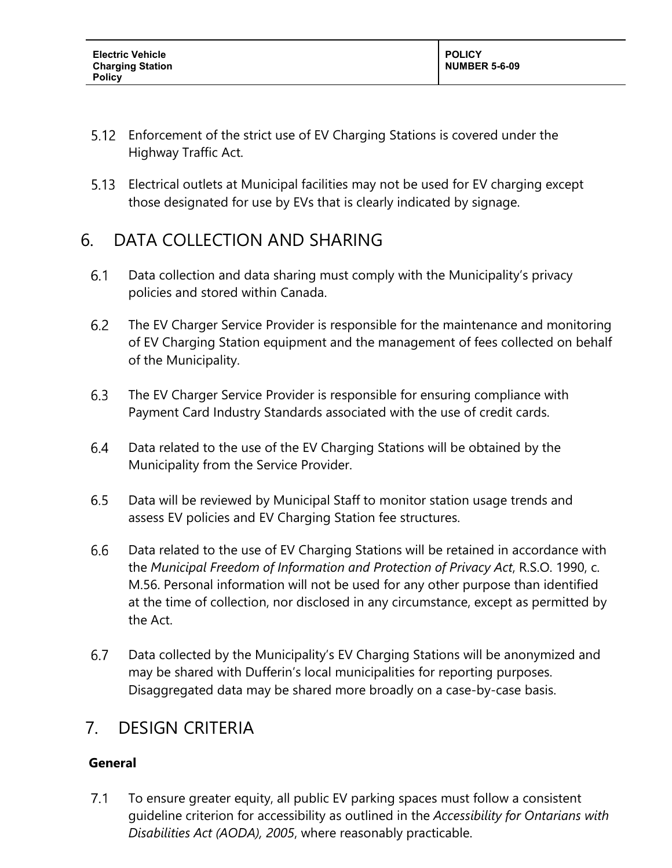- Enforcement of the strict use of EV Charging Stations is covered under the Highway Traffic Act.
- Electrical outlets at Municipal facilities may not be used for EV charging except those designated for use by EVs that is clearly indicated by signage.

# 6. DATA COLLECTION AND SHARING

- $6.1$ Data collection and data sharing must comply with the Municipality's privacy policies and stored within Canada.
- $6.2$ The EV Charger Service Provider is responsible for the maintenance and monitoring of EV Charging Station equipment and the management of fees collected on behalf of the Municipality.
- 6.3 The EV Charger Service Provider is responsible for ensuring compliance with Payment Card Industry Standards associated with the use of credit cards.
- 6.4 Data related to the use of the EV Charging Stations will be obtained by the Municipality from the Service Provider.
- $6.5$ Data will be reviewed by Municipal Staff to monitor station usage trends and assess EV policies and EV Charging Station fee structures.
- 6.6 Data related to the use of EV Charging Stations will be retained in accordance with the *Municipal Freedom of Information and Protection of Privacy Act*, R.S.O. 1990, c. M.56. Personal information will not be used for any other purpose than identified at the time of collection, nor disclosed in any circumstance, except as permitted by the Act.
- 6.7 Data collected by the Municipality's EV Charging Stations will be anonymized and may be shared with Dufferin's local municipalities for reporting purposes. Disaggregated data may be shared more broadly on a case-by-case basis.

# 7. DESIGN CRITERIA

## **General**

 $7.1$ To ensure greater equity, all public EV parking spaces must follow a consistent guideline criterion for accessibility as outlined in the *Accessibility for Ontarians with Disabilities Act (AODA), 2005*, where reasonably practicable.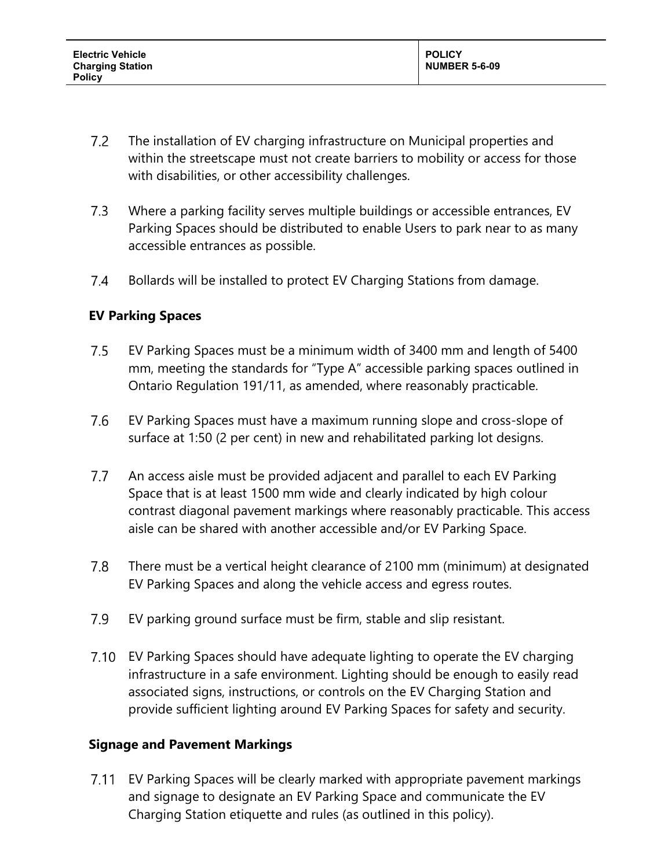- $7.2$ The installation of EV charging infrastructure on Municipal properties and within the streetscape must not create barriers to mobility or access for those with disabilities, or other accessibility challenges.
- $7.3$ Where a parking facility serves multiple buildings or accessible entrances, EV Parking Spaces should be distributed to enable Users to park near to as many accessible entrances as possible.
- 7.4 Bollards will be installed to protect EV Charging Stations from damage.

## **EV Parking Spaces**

- $7.5$ EV Parking Spaces must be a minimum width of 3400 mm and length of 5400 mm, meeting the standards for "Type A" accessible parking spaces outlined in Ontario Regulation 191/11, as amended, where reasonably practicable.
- 7.6 EV Parking Spaces must have a maximum running slope and cross-slope of surface at 1:50 (2 per cent) in new and rehabilitated parking lot designs.
- $7.7$ An access aisle must be provided adjacent and parallel to each EV Parking Space that is at least 1500 mm wide and clearly indicated by high colour contrast diagonal pavement markings where reasonably practicable. This access aisle can be shared with another accessible and/or EV Parking Space.
- 7.8 There must be a vertical height clearance of 2100 mm (minimum) at designated EV Parking Spaces and along the vehicle access and egress routes.
- $7.9$ EV parking ground surface must be firm, stable and slip resistant.
- EV Parking Spaces should have adequate lighting to operate the EV charging infrastructure in a safe environment. Lighting should be enough to easily read associated signs, instructions, or controls on the EV Charging Station and provide sufficient lighting around EV Parking Spaces for safety and security.

#### **Signage and Pavement Markings**

EV Parking Spaces will be clearly marked with appropriate pavement markings and signage to designate an EV Parking Space and communicate the EV Charging Station etiquette and rules (as outlined in this policy).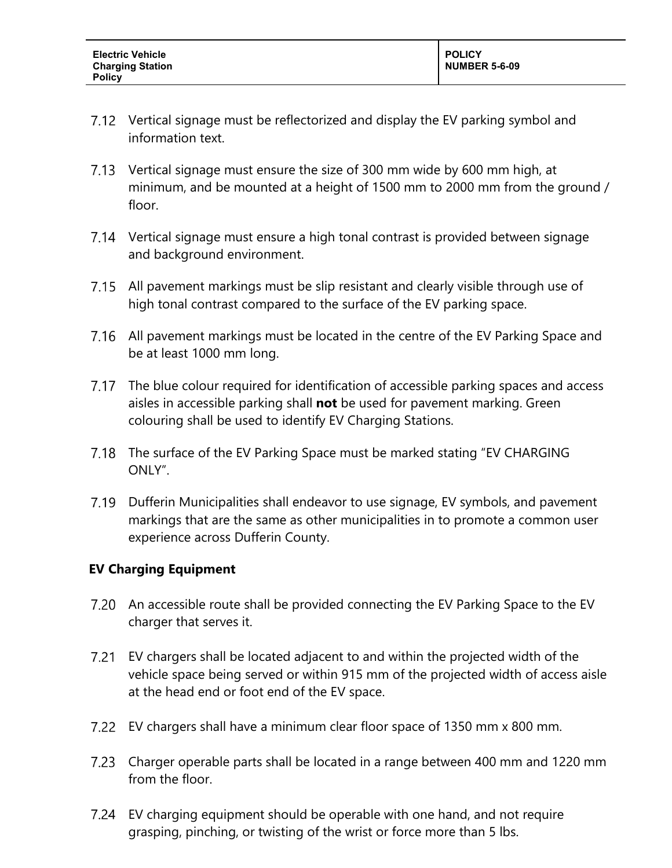- 7.12 Vertical signage must be reflectorized and display the EV parking symbol and information text.
- 7.13 Vertical signage must ensure the size of 300 mm wide by 600 mm high, at minimum, and be mounted at a height of 1500 mm to 2000 mm from the ground / floor.
- Vertical signage must ensure a high tonal contrast is provided between signage and background environment.
- 7.15 All pavement markings must be slip resistant and clearly visible through use of high tonal contrast compared to the surface of the EV parking space.
- 7.16 All pavement markings must be located in the centre of the EV Parking Space and be at least 1000 mm long.
- The blue colour required for identification of accessible parking spaces and access aisles in accessible parking shall **not** be used for pavement marking. Green colouring shall be used to identify EV Charging Stations.
- The surface of the EV Parking Space must be marked stating "EV CHARGING ONLY".
- 7.19 Dufferin Municipalities shall endeavor to use signage, EV symbols, and pavement markings that are the same as other municipalities in to promote a common user experience across Dufferin County.

#### **EV Charging Equipment**

- 7.20 An accessible route shall be provided connecting the EV Parking Space to the EV charger that serves it.
- EV chargers shall be located adjacent to and within the projected width of the vehicle space being served or within 915 mm of the projected width of access aisle at the head end or foot end of the EV space.
- EV chargers shall have a minimum clear floor space of 1350 mm x 800 mm.
- Charger operable parts shall be located in a range between 400 mm and 1220 mm from the floor.
- EV charging equipment should be operable with one hand, and not require grasping, pinching, or twisting of the wrist or force more than 5 lbs.